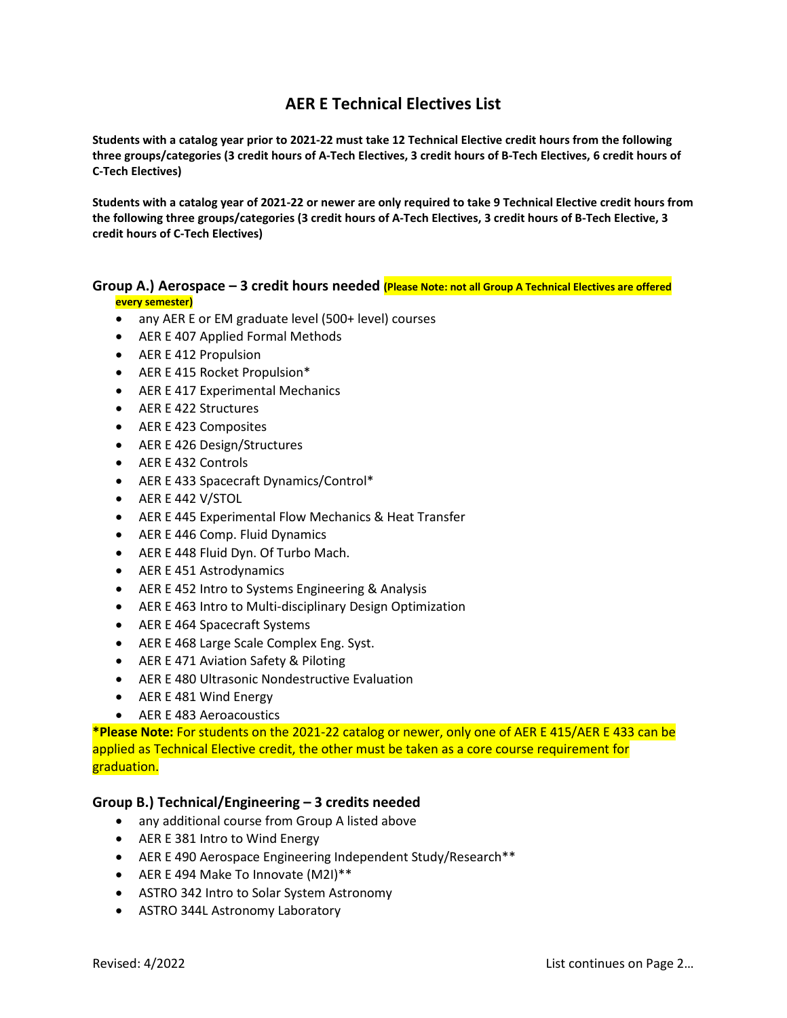## **AER E Technical Electives List**

**Students with a catalog year prior to 2021-22 must take 12 Technical Elective credit hours from the following three groups/categories (3 credit hours of A-Tech Electives, 3 credit hours of B-Tech Electives, 6 credit hours of C-Tech Electives)**

**Students with a catalog year of 2021-22 or newer are only required to take 9 Technical Elective credit hours from the following three groups/categories (3 credit hours of A-Tech Electives, 3 credit hours of B-Tech Elective, 3 credit hours of C-Tech Electives)**

## **Group A.) Aerospace – 3 credit hours needed (Please Note: not all Group A Technical Electives are offered every semester)**

- any AER E or EM graduate level (500+ level) courses
- AER E 407 Applied Formal Methods
- AER E 412 Propulsion
- AER E 415 Rocket Propulsion\*
- AER E 417 Experimental Mechanics
- AER E 422 Structures
- AER E 423 Composites
- AER E 426 Design/Structures
- AER E 432 Controls
- AER E 433 Spacecraft Dynamics/Control\*
- AER E 442 V/STOL
- AER E 445 Experimental Flow Mechanics & Heat Transfer
- AER E 446 Comp. Fluid Dynamics
- AER E 448 Fluid Dyn. Of Turbo Mach.
- AER E 451 Astrodynamics
- AER E 452 Intro to Systems Engineering & Analysis
- AER E 463 Intro to Multi-disciplinary Design Optimization
- AER E 464 Spacecraft Systems
- AER E 468 Large Scale Complex Eng. Syst.
- AER E 471 Aviation Safety & Piloting
- AER E 480 Ultrasonic Nondestructive Evaluation
- AER E 481 Wind Energy
- AER E 483 Aeroacoustics

**\*Please Note:** For students on the 2021-22 catalog or newer, only one of AER E 415/AER E 433 can be applied as Technical Elective credit, the other must be taken as a core course requirement for graduation.

## **Group B.) Technical/Engineering – 3 credits needed**

- any additional course from Group A listed above
- AER E 381 Intro to Wind Energy
- AER E 490 Aerospace Engineering Independent Study/Research\*\*
- AER E 494 Make To Innovate (M2I)\*\*
- ASTRO 342 Intro to Solar System Astronomy
- ASTRO 344L Astronomy Laboratory